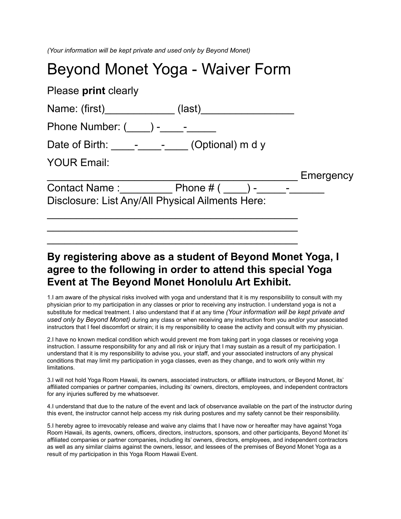*(Your information will be kept private and used only by Beyond Monet)* 

## Beyond Monet Yoga - Waiver Form

| Please print clearly                             |  |  |           |
|--------------------------------------------------|--|--|-----------|
|                                                  |  |  |           |
| Phone Number: $($ $)$ - $-$                      |  |  |           |
| Date of Birth: _______________(Optional) m d y   |  |  |           |
| <b>YOUR Email:</b>                               |  |  |           |
|                                                  |  |  | Emergency |
| Contact Name: Phone # ( ) - -                    |  |  |           |
| Disclosure: List Any/All Physical Ailments Here: |  |  |           |
|                                                  |  |  |           |
|                                                  |  |  |           |

## **By registering above as a student of Beyond Monet Yoga, I agree to the following in order to attend this special Yoga Event at The Beyond Monet Honolulu Art Exhibit.**

\_\_\_\_\_\_\_\_\_\_\_\_\_\_\_\_\_\_\_\_\_\_\_\_\_\_\_\_\_\_\_\_\_\_\_\_\_\_\_\_\_\_\_

1.I am aware of the physical risks involved with yoga and understand that it is my responsibility to consult with my physician prior to my participation in any classes or prior to receiving any instruction. I understand yoga is not a substitute for medical treatment. I also understand that if at any time *(Your information will be kept private and used only by Beyond Monet)* during any class or when receiving any instruction from you and/or your associated instructors that I feel discomfort or strain; it is my responsibility to cease the activity and consult with my physician.

2.I have no known medical condition which would prevent me from taking part in yoga classes or receiving yoga instruction. I assume responsibility for any and all risk or injury that I may sustain as a result of my participation. I understand that it is my responsibility to advise you, your staff, and your associated instructors of any physical conditions that may limit my participation in yoga classes, even as they change, and to work only within my limitations.

3.I will not hold Yoga Room Hawaii, its owners, associated instructors, or affiliate instructors, or Beyond Monet, its' affiliated companies or partner companies, including its' owners, directors, employees, and independent contractors for any injuries suffered by me whatsoever.

4.I understand that due to the nature of the event and lack of observance available on the part of the instructor during this event, the instructor cannot help access my risk during postures and my safety cannot be their responsibility.

5.I hereby agree to irrevocably release and waive any claims that I have now or hereafter may have against Yoga Room Hawaii, its agents, owners, officers, directors, instructors, sponsors, and other participants, Beyond Monet its' affiliated companies or partner companies, including its' owners, directors, employees, and independent contractors as well as any similar claims against the owners, lessor, and lessees of the premises of Beyond Monet Yoga as a result of my participation in this Yoga Room Hawaii Event.